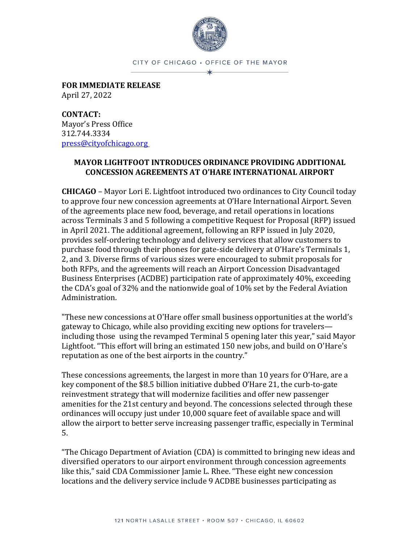

CITY OF CHICAGO . OFFICE OF THE MAYOR ∗

**FOR IMMEDIATE RELEASE** April 27, 2022

**CONTACT:** Mayor's Press Office 312.744.3334 [press@cityofchicago.org](mailto:press@cityofchicago.org)

## **MAYOR LIGHTFOOT INTRODUCES ORDINANCE PROVIDING ADDITIONAL CONCESSION AGREEMENTS AT O'HARE INTERNATIONAL AIRPORT**

**CHICAGO** – Mayor Lori E. Lightfoot introduced two ordinances to City Council today to approve four new concession agreements at O'Hare International Airport. Seven of the agreements place new food, beverage, and retail operations in locations across Terminals 3 and 5 following a competitive Request for Proposal (RFP) issued in April 2021. The additional agreement, following an RFP issued in July 2020, provides self-ordering technology and delivery services that allow customers to purchase food through their phones for gate-side delivery at O'Hare's Terminals 1, 2, and 3. Diverse firms of various sizes were encouraged to submit proposals for both RFPs, and the agreements will reach an Airport Concession Disadvantaged Business Enterprises (ACDBE) participation rate of approximately 40%, exceeding the CDA's goal of 32% and the nationwide goal of 10% set by the Federal Aviation Administration.

"These new concessions at O'Hare offer small business opportunities at the world's gateway to Chicago, while also providing exciting new options for travelers including those using the revamped Terminal 5 opening later this year," said Mayor Lightfoot. "This effort will bring an estimated 150 new jobs, and build on O'Hare's reputation as one of the best airports in the country."

These concessions agreements, the largest in more than 10 years for O'Hare, are a key component of the \$8.5 billion initiative dubbed O'Hare 21, the curb-to-gate reinvestment strategy that will modernize facilities and offer new passenger amenities for the 21st century and beyond. The concessions selected through these ordinances will occupy just under 10,000 square feet of available space and will allow the airport to better serve increasing passenger traffic, especially in Terminal 5.

"The Chicago Department of Aviation (CDA) is committed to bringing new ideas and diversified operators to our airport environment through concession agreements like this," said CDA Commissioner Jamie L. Rhee. "These eight new concession locations and the delivery service include 9 ACDBE businesses participating as